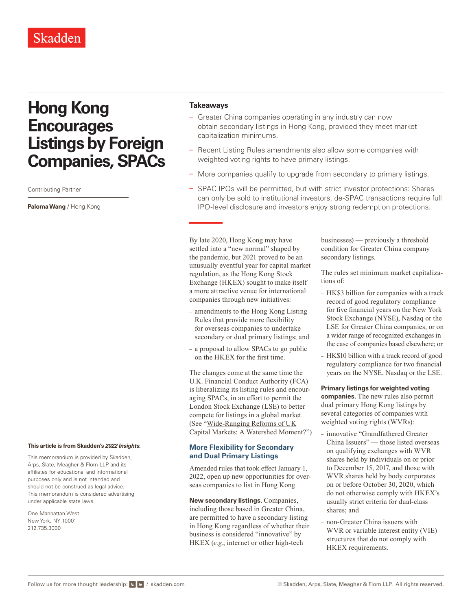# **Hong Kong Encourages Listings by Foreign Companies, SPACs**

Contributing Partner

**Paloma Wang** / Hong Kong

#### **This article is from Skadden's** *[2022 Insights](https://www.skadden.com/insights/publications/2022/01/2022-insights/2022-insights)***.**

This memorandum is provided by Skadden, Arps, Slate, Meagher & Flom LLP and its affiliates for educational and informational purposes only and is not intended and should not be construed as legal advice. This memorandum is considered advertising under applicable state laws.

One Manhattan West New York, NY 10001 212.735.3000

#### **Takeaways**

- Greater China companies operating in any industry can now obtain secondary listings in Hong Kong, provided they meet market capitalization minimums.
- Recent Listing Rules amendments also allow some companies with weighted voting rights to have primary listings.
- More companies qualify to upgrade from secondary to primary listings.
- SPAC IPOs will be permitted, but with strict investor protections: Shares can only be sold to institutional investors, de-SPAC transactions require full IPO-level disclosure and investors enjoy strong redemption protections.

By late 2020, Hong Kong may have settled into a "new normal" shaped by the pandemic, but 2021 proved to be an unusually eventful year for capital market regulation, as the Hong Kong Stock Exchange (HKEX) sought to make itself a more attractive venue for international companies through new initiatives:

- amendments to the Hong Kong Listing Rules that provide more flexibility for overseas companies to undertake secondary or dual primary listings; and
- a proposal to allow SPACs to go public on the HKEX for the first time.

The changes come at the same time the U.K. Financial Conduct Authority (FCA) is liberalizing its listing rules and encouraging SPACs, in an effort to permit the London Stock Exchange (LSE) to better compete for listings in a global market. (See ["Wide-Ranging Reforms of UK](https://www.skadden.com/insights/publications/2022/01/2022-insights/corporate/wide-ranging-reforms-of-uk-capital-markets) [Capital Markets: A Watershed Moment?](https://www.skadden.com/insights/publications/2022/01/2022-insights/corporate/wide-ranging-reforms-of-uk-capital-markets)")

### **More Flexibility for Secondary and Dual Primary Listings**

Amended rules that took effect January 1, 2022, open up new opportunities for overseas companies to list in Hong Kong.

**New secondary listings.** Companies, including those based in Greater China, are permitted to have a secondary listing in Hong Kong regardless of whether their business is considered "innovative" by HKEX (*e.g.*, internet or other high-tech

businesses) — previously a threshold condition for Greater China company secondary listings.

The rules set minimum market capitalizations of:

- HK\$3 billion for companies with a track record of good regulatory compliance for five financial years on the New York Stock Exchange (NYSE), Nasdaq or the LSE for Greater China companies, or on a wider range of recognized exchanges in the case of companies based elsewhere; or
- HK\$10 billion with a track record of good regulatory compliance for two financial years on the NYSE, Nasdaq or the LSE.

**Primary listings for weighted voting companies.** The new rules also permit dual primary Hong Kong listings by several categories of companies with weighted voting rights (WVRs):

- innovative "Grandfathered Greater China Issuers" — those listed overseas on qualifying exchanges with WVR shares held by individuals on or prior to December 15, 2017, and those with WVR shares held by body corporates on or before October 30, 2020, which do not otherwise comply with HKEX's usually strict criteria for dual-class shares; and
- non-Greater China issuers with WVR or variable interest entity (VIE) structures that do not comply with HKEX requirements.